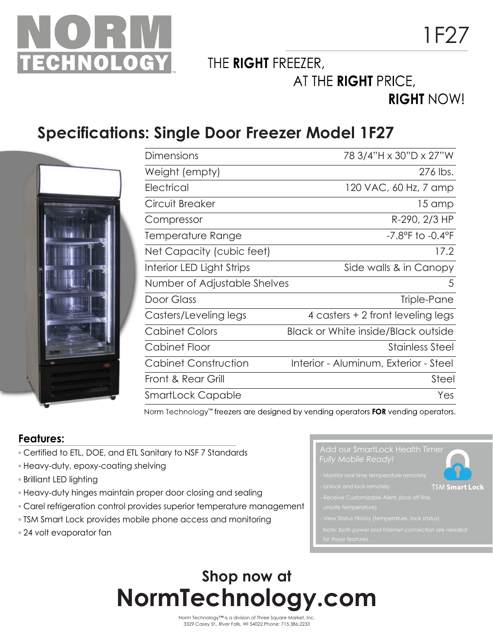

THE RIGHT FREEZER,

AT THE RIGHT PRICE,

### **RIGHT NOW!**

### **Specifications: Single Door Freezer Model 1F27**



| <b>Dimensions</b>            | 78 3/4"H x 30"D x 27"W                     |
|------------------------------|--------------------------------------------|
| Weight (empty)               | 276 lbs.                                   |
| Electrical                   | 120 VAC, 60 Hz, 7 amp                      |
| Circuit Breaker              | 15 amp                                     |
| Compressor                   | R-290, 2/3 HP                              |
| Temperature Range            | $-7.8$ °F to $-0.4$ °F                     |
| Net Capacity (cubic feet)    | 17.2                                       |
| Interior LED Light Strips    | Side walls & in Canopy                     |
| Number of Adjustable Shelves | 5                                          |
| Door Glass                   | Triple-Pane                                |
| Casters/Leveling legs        | 4 casters + 2 front leveling legs          |
| <b>Cabinet Colors</b>        | <b>Black or White inside/Black outside</b> |
| Cabinet Floor                | <b>Stainless Steel</b>                     |
| Cabinet Construction         | Interior - Aluminum, Exterior - Steel      |
| Front & Rear Grill           | Steel                                      |
| SmartLock Capable            | Yes                                        |

Norm Technology<sup>™</sup> freezers are designed by vending operators FOR vending operators.

#### **Features:**

- Certified to ETL, DOE, and ETL Sanitary to NSF 7 Standards
- Heavy-duty, epoxy-coating shelving
- Brilliant LED lighting
- Heavy-duty hinges maintain proper door closing and sealing
- Carel refrigeration control provides superior temperature management
- TSM Smart Lock provides mobile phone access and monitoring
- 24 volt evaporator fan



- $\epsilon$ al time temperature remote
- - **TSM Smart Lock**
- 
- 
- *Note: both power and Internet connection are needed*
- 

## **Shop now at NormTechnology.com**